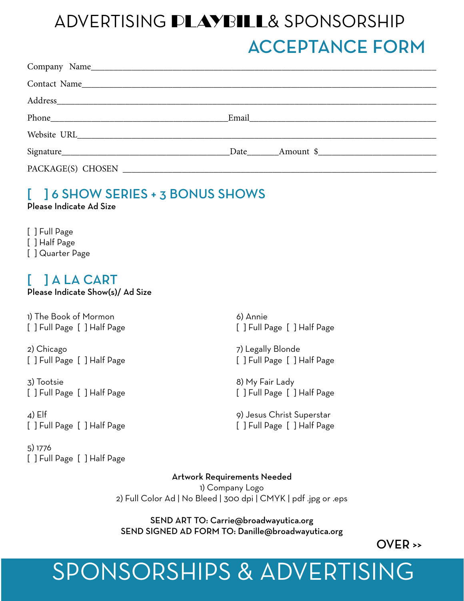### ADVERTISING PLAYBILL& SPONSORSHIP ACCEPTANCE FORM

| Address entertainment and the state of the state of the state of the state of the state of the state of the state of the state of the state of the state of the state of the state of the state of the state of the state of t |  |
|--------------------------------------------------------------------------------------------------------------------------------------------------------------------------------------------------------------------------------|--|
|                                                                                                                                                                                                                                |  |
|                                                                                                                                                                                                                                |  |
|                                                                                                                                                                                                                                |  |
|                                                                                                                                                                                                                                |  |

#### [ ] 6 SHOW SERIES + 3 BONUS SHOWS Please Indicate Ad Size

[ ] Full Page [ ] Half Page [ ] Quarter Page

#### [ ] A LA CART

Please Indicate Show(s)/ Ad Size

1) The Book of Mormon [ ] Full Page [ ] Half Page

2) Chicago [ ] Full Page [ ] Half Page

3) Tootsie [ ] Full Page [ ] Half Page

 $\triangle$ ) Elf [ ] Full Page [ ] Half Page

5) 1776 [ ] Full Page [ ] Half Page 6) Annie [] Full Page [] Half Page

7) Legally Blonde [ ] Full Page [ ] Half Page

8) My Fair Lady [ ] Full Page [ ] Half Page

9) Jesus Christ Superstar [ ] Full Page [ ] Half Page

Artwork Requirements Needed 1) Company Logo 2) Full Color Ad | No Bleed | 300 dpi | CMYK | pdf .jpg or .eps

SEND ART TO: Carrie@broadwayutica.org SEND SIGNED AD FORM TO: Danille@broadwayutica.org

OVER >>

## SPONSORSHIPS & ADVERTISING